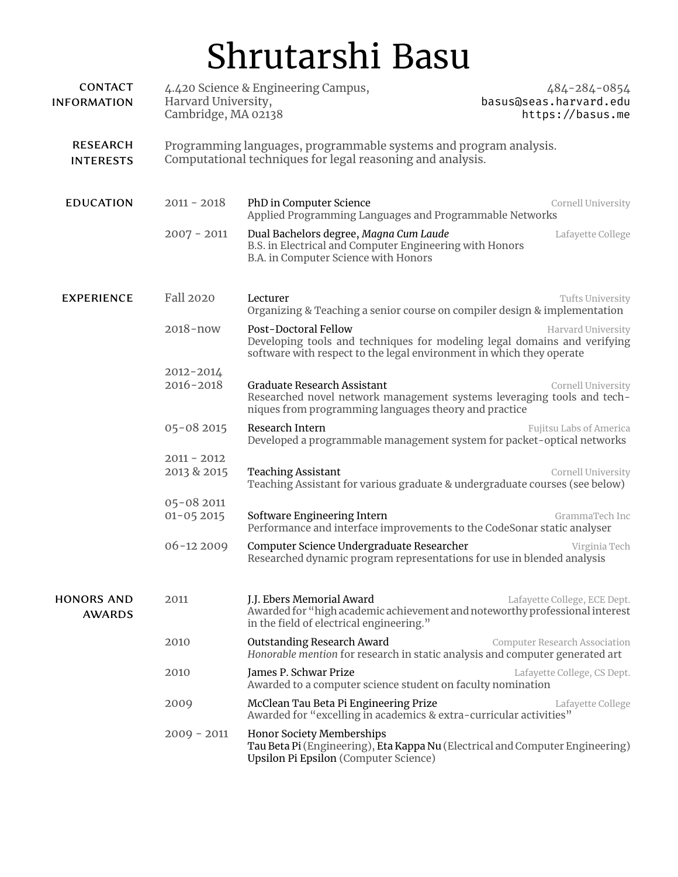# Shrutarshi Basu

| <b>CONTACT</b><br><b>INFORMATION</b> | 4.420 Science & Engineering Campus,<br>Harvard University,<br>Cambridge, MA 02138                                               |                                                                                                                                                                          | 484-284-0854<br>basus@seas.harvard.edu<br>https://basus.me |
|--------------------------------------|---------------------------------------------------------------------------------------------------------------------------------|--------------------------------------------------------------------------------------------------------------------------------------------------------------------------|------------------------------------------------------------|
| <b>RESEARCH</b><br><b>INTERESTS</b>  | Programming languages, programmable systems and program analysis.<br>Computational techniques for legal reasoning and analysis. |                                                                                                                                                                          |                                                            |
| <b>EDUCATION</b>                     | $2011 - 2018$                                                                                                                   | PhD in Computer Science<br>Applied Programming Languages and Programmable Networks                                                                                       | Cornell University                                         |
|                                      | $2007 - 2011$                                                                                                                   | Dual Bachelors degree, Magna Cum Laude<br>B.S. in Electrical and Computer Engineering with Honors<br>B.A. in Computer Science with Honors                                | Lafayette College                                          |
| <b>EXPERIENCE</b>                    | Fall 2020                                                                                                                       | Lecturer<br>Organizing & Teaching a senior course on compiler design & implementation                                                                                    | Tufts University                                           |
|                                      | $2018 - now$                                                                                                                    | Post-Doctoral Fellow<br>Developing tools and techniques for modeling legal domains and verifying<br>software with respect to the legal environment in which they operate | Harvard University                                         |
|                                      | 2012-2014<br>2016-2018                                                                                                          | <b>Graduate Research Assistant</b><br>Researched novel network management systems leveraging tools and tech-<br>niques from programming languages theory and practice    | Cornell University                                         |
|                                      | 05-08 2015                                                                                                                      | Research Intern<br>Developed a programmable management system for packet-optical networks                                                                                | Fujitsu Labs of America                                    |
|                                      | $2011 - 2012$<br>2013 & 2015                                                                                                    | <b>Teaching Assistant</b><br>Teaching Assistant for various graduate & undergraduate courses (see below)                                                                 | Cornell University                                         |
|                                      | 05-08 2011<br>$01 - 052015$                                                                                                     | Software Engineering Intern<br>Performance and interface improvements to the CodeSonar static analyser                                                                   | GrammaTech Inc                                             |
|                                      | $06 - 122009$                                                                                                                   | Computer Science Undergraduate Researcher<br>Researched dynamic program representations for use in blended analysis                                                      | Virginia Tech                                              |
| <b>HONORS AND</b><br><b>AWARDS</b>   | 2011                                                                                                                            | J.J. Ebers Memorial Award<br>Awarded for "high academic achievement and noteworthy professional interest<br>in the field of electrical engineering."                     | Lafayette College, ECE Dept.                               |
|                                      | 2010                                                                                                                            | <b>Outstanding Research Award</b><br>Honorable mention for research in static analysis and computer generated art                                                        | <b>Computer Research Association</b>                       |
|                                      | 2010                                                                                                                            | James P. Schwar Prize<br>Awarded to a computer science student on faculty nomination                                                                                     | Lafayette College, CS Dept.                                |
|                                      | 2009                                                                                                                            | McClean Tau Beta Pi Engineering Prize<br>Awarded for "excelling in academics & extra-curricular activities"                                                              | Lafayette College                                          |
|                                      | $2009 - 2011$                                                                                                                   | <b>Honor Society Memberships</b><br>Tau Beta Pi (Engineering), Eta Kappa Nu (Electrical and Computer Engineering)<br>Upsilon Pi Epsilon (Computer Science)               |                                                            |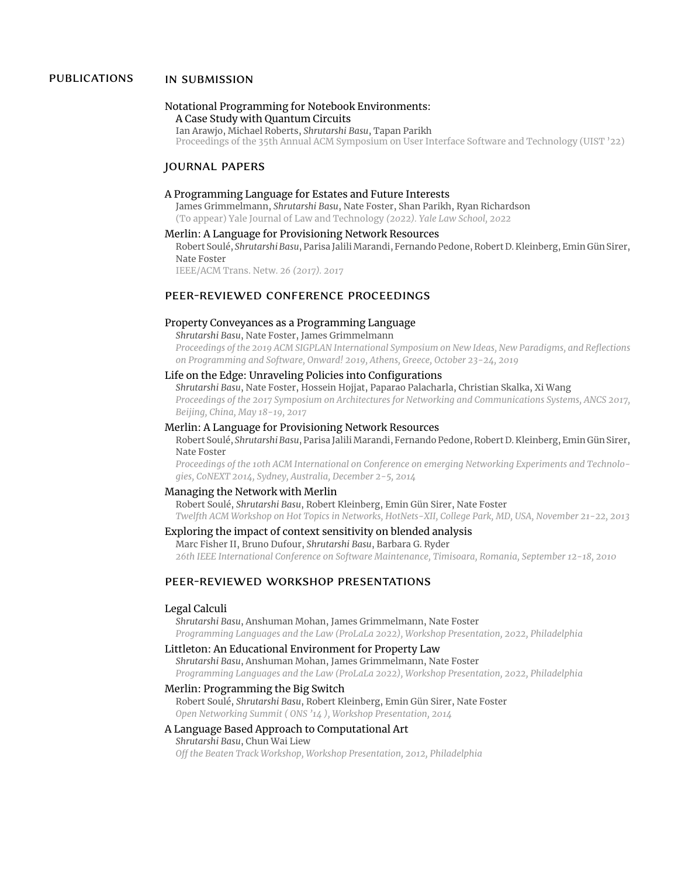## publications in submission

#### Notational Programming for Notebook Environments: A Case Study with Quantum Circuits

Ian Arawjo, Michael Roberts, *Shrutarshi Basu*, Tapan Parikh Proceedings of the 35th Annual ACM Symposium on User Interface Software and Technology (UIST '22)

#### journal papers

#### A Programming Language for Estates and Future Interests

James Grimmelmann, *Shrutarshi Basu*, Nate Foster, Shan Parikh, Ryan Richardson (To appear) Yale Journal of Law and Technology *(2022). Yale Law School, 2022*

#### Merlin: A Language for Provisioning Network Resources

Robert Soulé, *Shrutarshi Basu*, Parisa JaliliMarandi, Fernando Pedone, Robert D. Kleinberg, Emin Gün Sirer, Nate Foster

IEEE/ACM Trans. Netw. *26 (2017). 2017*

# peer-reviewed conference proceedings

### Property Conveyances as a Programming Language

*Shrutarshi Basu*, Nate Foster, James Grimmelmann

*Proceedings of the 2019 ACM SIGPLAN International Symposium on New Ideas, New Paradigms, and Reflections on Programming and Software, Onward! 2019, Athens, Greece, October 23-24, 2019*

#### Life on the Edge: Unraveling Policies into Configurations

*Shrutarshi Basu*, Nate Foster, Hossein Hojjat, Paparao Palacharla, Christian Skalka, Xi Wang *Proceedings of the 2017 Symposium on Architectures for Networking and Communications Systems, ANCS 2017, Beijing, China, May 18-19, 2017*

#### Merlin: A Language for Provisioning Network Resources

Robert Soulé, *Shrutarshi Basu*, Parisa JaliliMarandi, Fernando Pedone, Robert D. Kleinberg, Emin Gün Sirer, Nate Foster

*Proceedings of the 10th ACM International on Conference on emerging Networking Experiments and Technologies, CoNEXT 2014, Sydney, Australia, December 2-5, 2014*

#### Managing the Network with Merlin

Robert Soulé, *Shrutarshi Basu*, Robert Kleinberg, Emin Gün Sirer, Nate Foster *Twelfth ACM Workshop on Hot Topics in Networks, HotNets-XII, College Park, MD, USA, November 21-22, 2013*

## Exploring the impact of context sensitivity on blended analysis

Marc Fisher II, Bruno Dufour, *Shrutarshi Basu*, Barbara G. Ryder *26th IEEE International Conference on Software Maintenance, Timisoara, Romania, September 12-18, 2010*

#### peer-reviewed workshop presentations

#### Legal Calculi

*Shrutarshi Basu*, Anshuman Mohan, James Grimmelmann, Nate Foster *Programming Languages and the Law (ProLaLa 2022), Workshop Presentation, 2022, Philadelphia*

#### Littleton: An Educational Environment for Property Law

*Shrutarshi Basu*, Anshuman Mohan, James Grimmelmann, Nate Foster *Programming Languages and the Law (ProLaLa 2022), Workshop Presentation, 2022, Philadelphia*

#### Merlin: Programming the Big Switch

Robert Soulé, *Shrutarshi Basu*, Robert Kleinberg, Emin Gün Sirer, Nate Foster *Open Networking Summit ( ONS '14 ), Workshop Presentation, 2014*

#### A Language Based Approach to Computational Art *Shrutarshi Basu*, Chun Wai Liew

*Off the Beaten Track Workshop, Workshop Presentation, 2012, Philadelphia*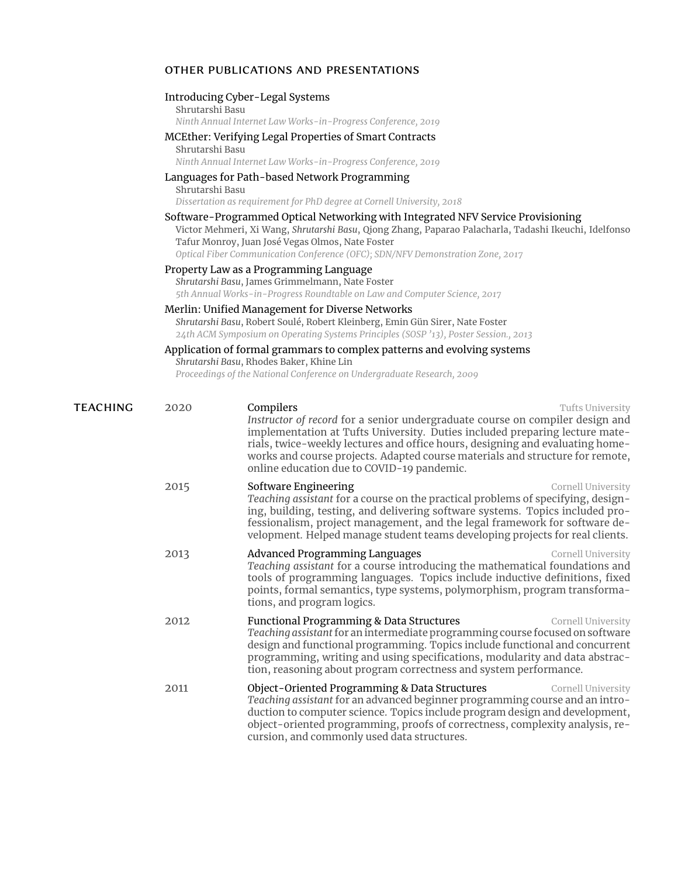# other publications and presentations

|          | Shrutarshi Basu                                                                                                                                                                                                                                                                                                                | Introducing Cyber-Legal Systems<br>Ninth Annual Internet Law Works-in-Progress Conference, 2019                                                                                                                                                                                                                                                                                                               |  |  |  |  |
|----------|--------------------------------------------------------------------------------------------------------------------------------------------------------------------------------------------------------------------------------------------------------------------------------------------------------------------------------|---------------------------------------------------------------------------------------------------------------------------------------------------------------------------------------------------------------------------------------------------------------------------------------------------------------------------------------------------------------------------------------------------------------|--|--|--|--|
|          | Shrutarshi Basu                                                                                                                                                                                                                                                                                                                | MCEther: Verifying Legal Properties of Smart Contracts<br>Ninth Annual Internet Law Works-in-Progress Conference, 2019                                                                                                                                                                                                                                                                                        |  |  |  |  |
|          | Languages for Path-based Network Programming<br>Shrutarshi Basu<br>Dissertation as requirement for PhD degree at Cornell University, 2018                                                                                                                                                                                      |                                                                                                                                                                                                                                                                                                                                                                                                               |  |  |  |  |
|          | Software-Programmed Optical Networking with Integrated NFV Service Provisioning<br>Victor Mehmeri, Xi Wang, Shrutarshi Basu, Qiong Zhang, Paparao Palacharla, Tadashi Ikeuchi, Idelfonso<br>Tafur Monroy, Juan José Vegas Olmos, Nate Foster<br>Optical Fiber Communication Conference (OFC); SDN/NFV Demonstration Zone, 2017 |                                                                                                                                                                                                                                                                                                                                                                                                               |  |  |  |  |
|          |                                                                                                                                                                                                                                                                                                                                | Property Law as a Programming Language<br>Shrutarshi Basu, James Grimmelmann, Nate Foster<br>5th Annual Works-in-Progress Roundtable on Law and Computer Science, 2017                                                                                                                                                                                                                                        |  |  |  |  |
|          |                                                                                                                                                                                                                                                                                                                                | Merlin: Unified Management for Diverse Networks<br>Shrutarshi Basu, Robert Soulé, Robert Kleinberg, Emin Gün Sirer, Nate Foster<br>24th ACM Symposium on Operating Systems Principles (SOSP '13), Poster Session., 2013                                                                                                                                                                                       |  |  |  |  |
|          |                                                                                                                                                                                                                                                                                                                                | Application of formal grammars to complex patterns and evolving systems<br>Shrutarshi Basu, Rhodes Baker, Khine Lin<br>Proceedings of the National Conference on Undergraduate Research, 2009                                                                                                                                                                                                                 |  |  |  |  |
| TEACHING | 2020                                                                                                                                                                                                                                                                                                                           | Compilers<br>Tufts University<br>Instructor of record for a senior undergraduate course on compiler design and<br>implementation at Tufts University. Duties included preparing lecture mate-<br>rials, twice-weekly lectures and office hours, designing and evaluating home-<br>works and course projects. Adapted course materials and structure for remote,<br>online education due to COVID-19 pandemic. |  |  |  |  |
|          | 2015                                                                                                                                                                                                                                                                                                                           | Software Engineering<br>Cornell University<br>Teaching assistant for a course on the practical problems of specifying, design-<br>ing, building, testing, and delivering software systems. Topics included pro-<br>fessionalism, project management, and the legal framework for software de-<br>velopment. Helped manage student teams developing projects for real clients.                                 |  |  |  |  |
|          | 2013                                                                                                                                                                                                                                                                                                                           | Advanced Programming Languages<br>Cornell University<br>Teaching assistant for a course introducing the mathematical foundations and<br>tools of programming languages. Topics include inductive definitions, fixed<br>points, formal semantics, type systems, polymorphism, program transforma-<br>tions, and program logics.                                                                                |  |  |  |  |
|          | 2012                                                                                                                                                                                                                                                                                                                           | <b>Functional Programming &amp; Data Structures</b><br>Cornell University<br>Teaching assistant for an intermediate programming course focused on software<br>design and functional programming. Topics include functional and concurrent<br>programming, writing and using specifications, modularity and data abstrac-<br>tion, reasoning about program correctness and system performance.                 |  |  |  |  |
|          | 2011                                                                                                                                                                                                                                                                                                                           | Object-Oriented Programming & Data Structures<br>Cornell University<br>Teaching assistant for an advanced beginner programming course and an intro-<br>duction to computer science. Topics include program design and development,<br>object-oriented programming, proofs of correctness, complexity analysis, re-                                                                                            |  |  |  |  |

cursion, and commonly used data structures.